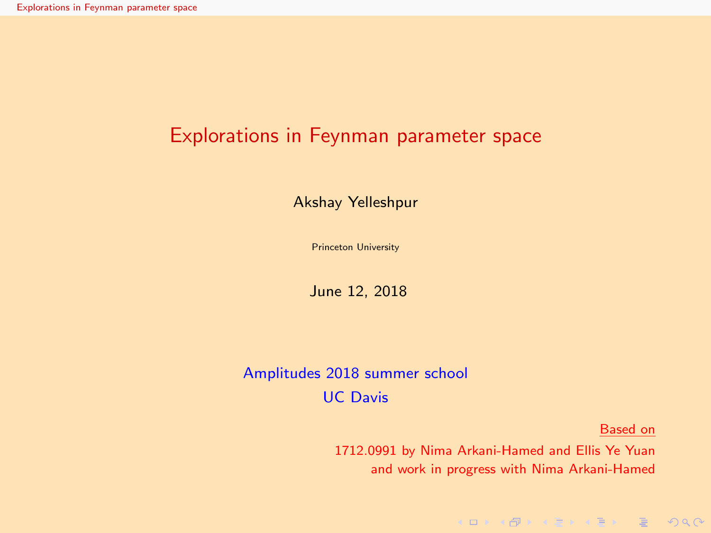## <span id="page-0-0"></span>Explorations in Feynman parameter space

Akshay Yelleshpur

Princeton University

June 12, 2018

### Amplitudes 2018 summer school UC Davis

Based on

KORKAR KERKER E DAA

1712.0991 by Nima Arkani-Hamed and Ellis Ye Yuan and work in progress with Nima Arkani-Hamed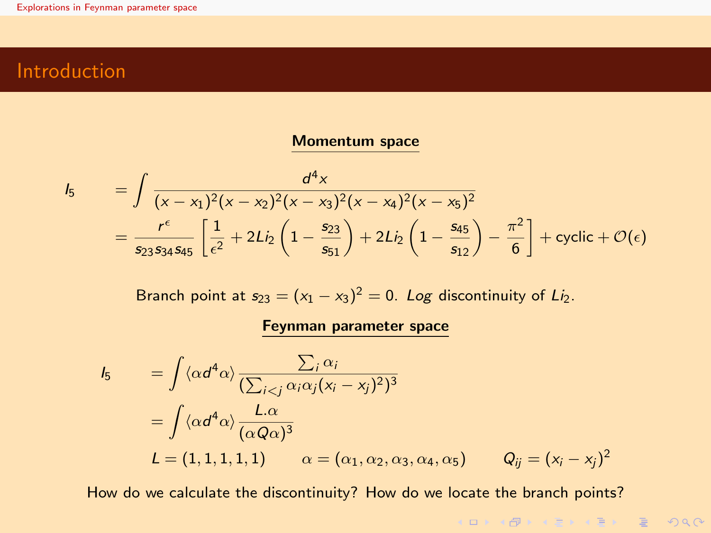## Introduction

#### Momentum space

$$
I_5 = \int \frac{d^4 x}{(x - x_1)^2 (x - x_2)^2 (x - x_3)^2 (x - x_4)^2 (x - x_5)^2}
$$
  
=  $\frac{r^{\epsilon}}{s_{23} s_{34} s_{45}} \left[ \frac{1}{\epsilon^2} + 2Li_2 \left( 1 - \frac{s_{23}}{s_{51}} \right) + 2Li_2 \left( 1 - \frac{s_{45}}{s_{12}} \right) - \frac{\pi^2}{6} \right] + \text{cyclic} + \mathcal{O}(\epsilon)$ 

Branch point at  $s_{23} = (x_1 - x_3)^2 = 0$ . Log discontinuity of Li<sub>2</sub>.

#### Feynman parameter space

$$
I_5 = \int \langle \alpha d^4 \alpha \rangle \frac{\sum_i \alpha_i}{(\sum_{i < j} \alpha_i \alpha_j (x_i - x_j)^2)^3}
$$
  
= 
$$
\int \langle \alpha d^4 \alpha \rangle \frac{L \alpha}{(\alpha Q \alpha)^3}
$$
  

$$
L = (1, 1, 1, 1, 1, 1) \qquad \alpha = (\alpha_1, \alpha_2, \alpha_3, \alpha_4, \alpha_5) \qquad Q_{ij} = (x_i - x_j)^2
$$

How do we calculate the discontinuity? How do we locate the branch points?

KORK@RKERKER E 1990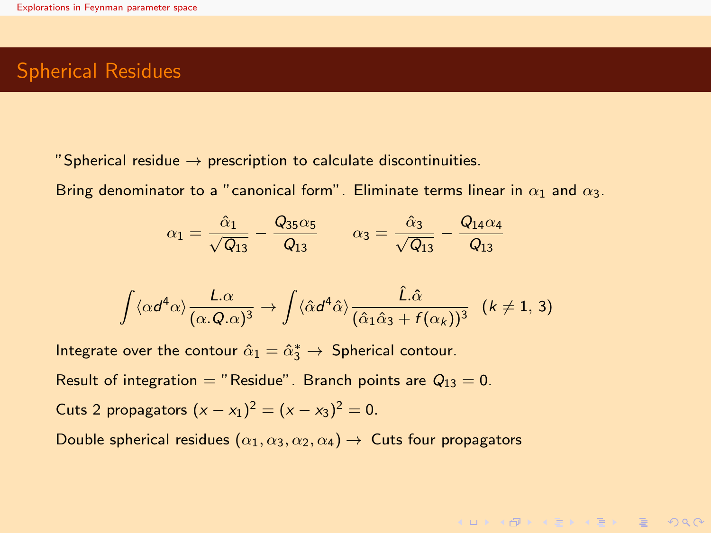## Spherical Residues

"Spherical residue  $\rightarrow$  prescription to calculate discontinuities.

Bring denominator to a "canonical form". Eliminate terms linear in  $\alpha_1$  and  $\alpha_3$ .

$$
\alpha_1 = \frac{\hat{\alpha}_1}{\sqrt{Q_{13}}} - \frac{Q_{35}\alpha_5}{Q_{13}} \qquad \alpha_3 = \frac{\hat{\alpha}_3}{\sqrt{Q_{13}}} - \frac{Q_{14}\alpha_4}{Q_{13}}
$$

$$
\int \langle \alpha d^4 \alpha \rangle \frac{L.\alpha}{(\alpha.Q.\alpha)^3} \rightarrow \int \langle \hat{\alpha} d^4 \hat{\alpha} \rangle \frac{\hat{L}.\hat{\alpha}}{(\hat{\alpha}_1 \hat{\alpha}_3 + f(\alpha_k))^3} \quad (k \neq 1, 3)
$$

KORKAR KERKER E DAG

Integrate over the contour  $\hat{\alpha}_1 = \hat{\alpha}_3^* \rightarrow$  Spherical contour.

Result of integration = "Residue". Branch points are  $Q_{13} = 0$ .

Cuts 2 propagators  $(x - x_1)^2 = (x - x_3)^2 = 0$ .

Double spherical residues  $(\alpha_1, \alpha_3, \alpha_2, \alpha_4) \rightarrow$  Cuts four propagators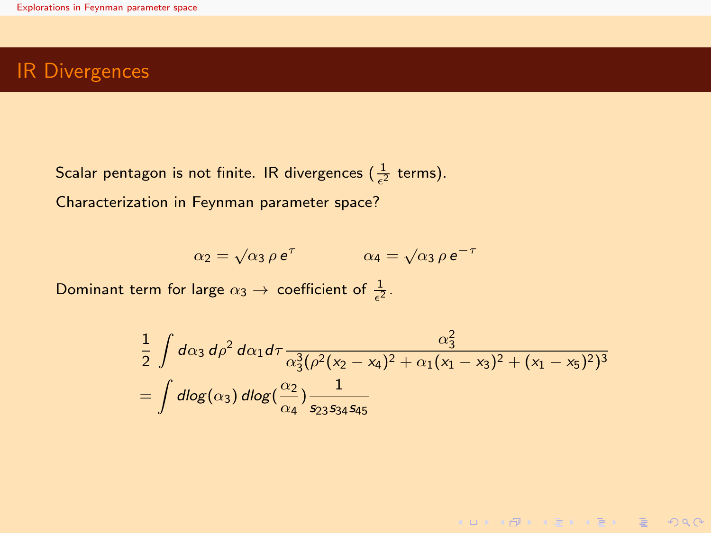## IR Divergences

Scalar pentagon is not finite. IR divergences ( $\frac{1}{\epsilon^2}$  terms). Characterization in Feynman parameter space?

$$
\alpha_2 = \sqrt{\alpha_3} \rho \, e^{\tau} \qquad \qquad \alpha_4 = \sqrt{\alpha_3} \rho \, e^{-\tau}
$$

Dominant term for large  $\alpha_3 \to$  coefficient of  $\frac{1}{\epsilon^2}$ .

$$
\frac{1}{2}\int d\alpha_3 d\rho^2 d\alpha_1 d\tau \frac{\alpha_3^2}{\alpha_3^3(\rho^2(x_2 - x_4)^2 + \alpha_1(x_1 - x_3)^2 + (x_1 - x_5)^2)^3}
$$
\n
$$
= \int d\log(\alpha_3) d\log(\frac{\alpha_2}{\alpha_4}) \frac{1}{s_{23}s_{34}s_{45}}
$$

KOKK @KK EKK EKK E YOU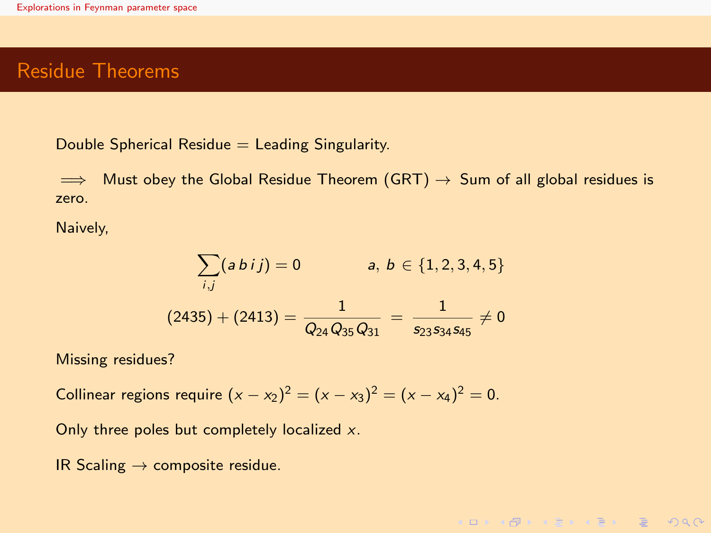## <span id="page-4-0"></span>Residue Theorems

Double Spherical Residue  $=$  Leading Singularity.

 $\implies$  Must obey the Global Residue Theorem (GRT)  $\rightarrow$  Sum of all global residues is zero.

Naively,

$$
\sum_{i,j} (a \, bi \, j) = 0 \qquad a, \, b \in \{1, 2, 3, 4, 5\}
$$
\n
$$
(2435) + (2413) = \frac{1}{Q_{24} Q_{35} Q_{31}} = \frac{1}{s_{23} s_{34} s_{45}} \neq 0
$$

KORKAR KERKER E DAA

Missing residues?

Collinear regions require  $(x - x_2)^2 = (x - x_3)^2 = (x - x_4)^2 = 0$ .

Only three poles but completely localized x.

IR Scaling  $\rightarrow$  composite residue.